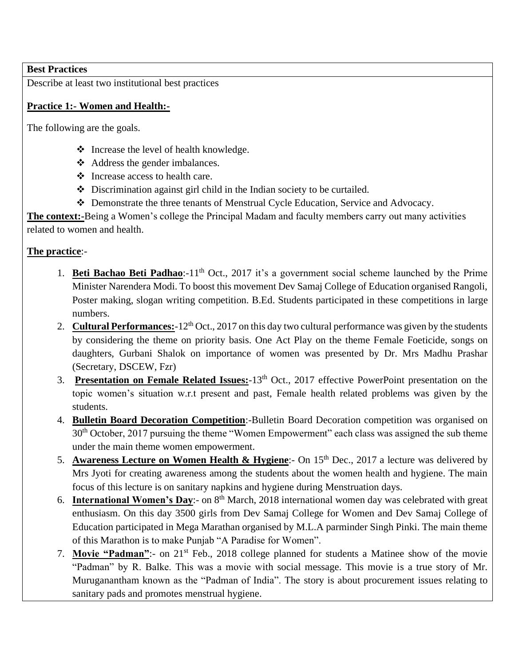## **Best Practices**

Describe at least two institutional best practices

## **Practice 1:- Women and Health:-**

The following are the goals.

- ❖ Increase the level of health knowledge.
- ❖ Address the gender imbalances.
- ❖ Increase access to health care.
- ❖ Discrimination against girl child in the Indian society to be curtailed.
- ❖ Demonstrate the three tenants of Menstrual Cycle Education, Service and Advocacy.

**The context:-**Being a Women's college the Principal Madam and faculty members carry out many activities related to women and health.

## **The practice**:-

- 1. **Beti Bachao Beti Padhao**:-11<sup>th</sup> Oct., 2017 it's a government social scheme launched by the Prime Minister Narendera Modi. To boost this movement Dev Samaj College of Education organised Rangoli, Poster making, slogan writing competition. B.Ed. Students participated in these competitions in large numbers.
- 2. **Cultural Performances:**-12<sup>th</sup> Oct., 2017 on this day two cultural performance was given by the students by considering the theme on priority basis. One Act Play on the theme Female Foeticide, songs on daughters, Gurbani Shalok on importance of women was presented by Dr. Mrs Madhu Prashar (Secretary, DSCEW, Fzr)
- 3. **Presentation on Female Related Issues:**-13th Oct., 2017 effective PowerPoint presentation on the topic women's situation w.r.t present and past, Female health related problems was given by the students.
- 4. **Bulletin Board Decoration Competition**:-Bulletin Board Decoration competition was organised on 30<sup>th</sup> October, 2017 pursuing the theme "Women Empowerment" each class was assigned the sub theme under the main theme women empowerment.
- 5. **Awareness Lecture on Women Health & Hygiene**:- On 15<sup>th</sup> Dec., 2017 a lecture was delivered by Mrs Jyoti for creating awareness among the students about the women health and hygiene. The main focus of this lecture is on sanitary napkins and hygiene during Menstruation days.
- 6. **International Women's Day**:- on 8<sup>th</sup> March, 2018 international women day was celebrated with great enthusiasm. On this day 3500 girls from Dev Samaj College for Women and Dev Samaj College of Education participated in Mega Marathan organised by M.L.A parminder Singh Pinki. The main theme of this Marathon is to make Punjab "A Paradise for Women".
- 7. **Movie "Padman"**:- on 21st Feb., 2018 college planned for students a Matinee show of the movie "Padman" by R. Balke. This was a movie with social message. This movie is a true story of Mr. Muruganantham known as the "Padman of India". The story is about procurement issues relating to sanitary pads and promotes menstrual hygiene.